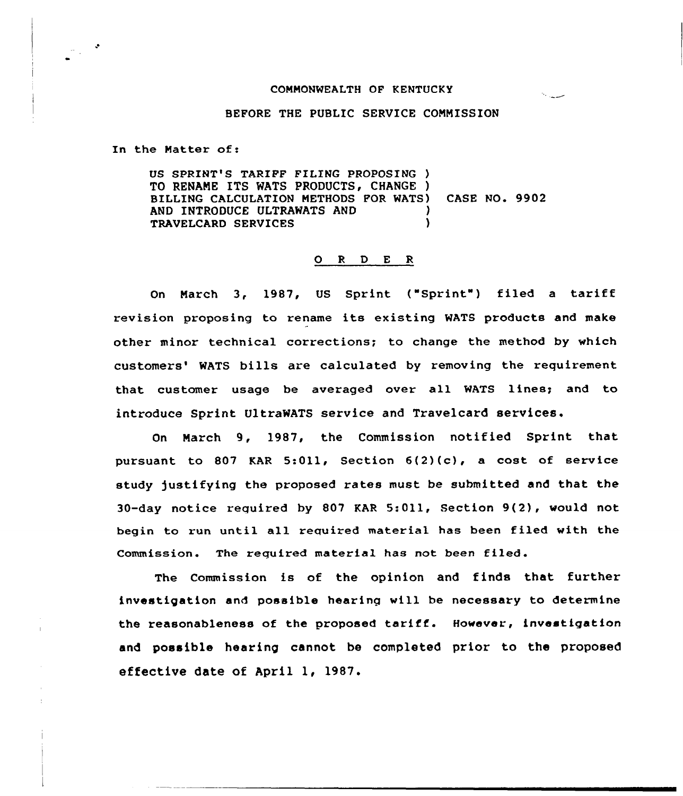## COMMONWEALTH OF KENTUCKY

## BEFORE THE PUBLIC SERVICE COMMISSION

In the Matter of:

US SPRINT'8 TARIFF FILING PROPOSING ) TO RENAME ITS WATS PRODUCTS, CHANGE ) BILLING CALCULATION METHODS FOR MATS) CASE NO. 9902 AND INTRODUCE ULTRAWATS AND TRAVELCARD SERVICES )

## 0 <sup>R</sup> <sup>D</sup> E <sup>R</sup>

On March 3, 1987, US Sprint ("Sprint") filed a tariff revision proposing to rename its existing MATS products and make other minor technical corrections; to change the method by which customers' WATS bills are calculated by removing the requirement that customer usage be averaged over all WATS lines; and to introduce Sprint UltraWATS service and Travelcard services.

On March 9, 1987, the Commission notified Sprint that pursuant to 807 KAR 5:011, Section  $6(2)(c)$ , a cost of service study justifying the proposed rates must be submitted and that the 30-day notice required by 807 KAR 5:Oll, Section 9(2), would not begin to run until all required material has been filed with the Commission. The reguired material has not been filed.

The Commission is of the opinion and finds that further investigation and possible hearing will be necessary to determine the reasonableness of the proposed tariff. However, investigation and possible hearing cannot be completed prior to the proposed effective date of April 1, 1987.